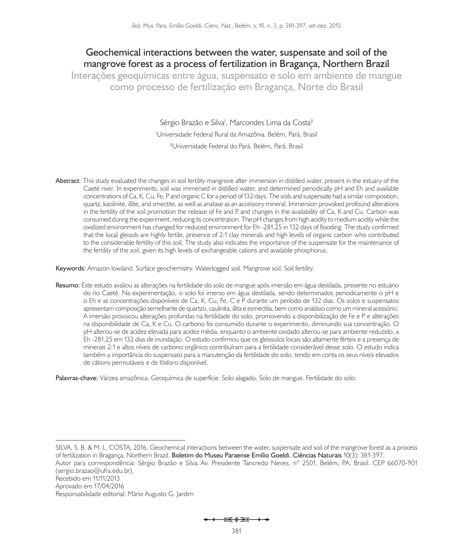# **Geochemical interactions between the water, suspensate and soil of the mangrove forest as a process of fertilization in Bragança, Northern Brazil**

**Interações geoquímicas entre água, suspensato e solo em ambiente de mangue como processo de fertilização em Bragança, Norte do Brasil**

> Sérgio Brazão e Silva<sup>i</sup>, Marcondes Lima da Costa<sup>ii</sup> I Universidade Federal Rural da Amazônia. Belém, Pará, Brasil <sup>II</sup>Universidade Federal do Pará. Belém, Pará, Brasil

**Abstract**: This study evaluated the changes in soil fertility mangrove after immersion in distilled water, present in the estuary of the Caeté river. In experiments, soil was immersed in distilled water, and determined periodically pH and Eh and available concentrations of Ca, K, Cu, Fe, P and organic C for a period of 132 days. The soils and suspensate had a similar composition, quartz, kaolinite, illite, and smectite, as well as anatase as an accessory mineral. Immersion provoked profound alterations in the fertility of the soil promotion the release of Fe and P, and changes in the availability of Ca, K and Cu. Carbon was consumed during the experiment, reducing its concentration. The pH changes from high acidity to medium acidity while the oxidized environment has changed for reduced environment for Eh -281.25 in 132 days of flooding. The study confirmed that the local gleisols are highly fertile, presence of 2:1 clay minerals and high levels of organic carbon who contributed to the considerable fertility of this soil. The study also indicates the importance of the suspensate for the maintenance of the fertility of the soil, given its high levels of exchangeable cations and available phosphorus.

**Keywords:** Amazon lowland. Surface geochemistry. Waterlogged soil. Mangrove soil. Soil fertility.

**Resumo:** Este estudo avaliou as alterações na fertilidade do solo de mangue após imersão em água destilada, presente no estuário do rio Caeté. Na experimentação, o solo foi imerso em água destilada, sendo determinados periodicamente o pH e o Eh e as concentrações disponíveis de Ca, K, Cu, Fe, C e P durante um período de 132 dias. Os solos e suspensatos apresentam composição semelhante de quartzo, caulinita, illita e esmectita, bem como anatásio como um mineral acessório. A imersão provocou alterações profundas na fertilidade do solo, promovendo a disponibilização de Fe e P e alterações na disponibilidade de Ca, K e Cu. O carbono foi consumido durante o experimento, diminuindo sua concentração. O pH alterou-se de acidez elevada para acidez média, enquanto o ambiente oxidado alterou-se para ambiente reduzido, a Eh -281,25 em 132 dias de inundação. O estudo confirmou que os gleissolos locais são altamente férteis e a presença de minerais 2:1 e altos níveis de carbono orgânico contribuíram para a fertilidade considerável desse solo. O estudo indica também a importância do suspensato para a manutenção da fertilidade do solo, tendo em conta os seus níveis elevados de cátions permutáveis e de fósforo disponível.

**Palavras-chave:** Várzea amazônica. Geoquímica de superfície. Solo alagado. Solo de mangue. Fertilidade do solo.

Recebido em 11/11/2013 Aprovado em 17/04/2016

Responsabilidade editorial: Mário Augusto G. Jardim

 $\overline{\phantom{a}}$ 

SILVA, S. B. & M. L. COSTA, 2016. Geochemical interactions between the water, suspensate and soil of the mangrove forest as a process of fertilization in Bragança, Northern Brazil. **Boletim do Museu Paraense Emílio Goeldi. Ciências Naturais** 10(3): 381-397.

Autor para correspondência: Sérgio Brazão e Silva. Av. Presidente Tancredo Neves, nº 2501. Belém, PA, Brasil. CEP 66070-901 (sergio.brazao@ufra.edu.br).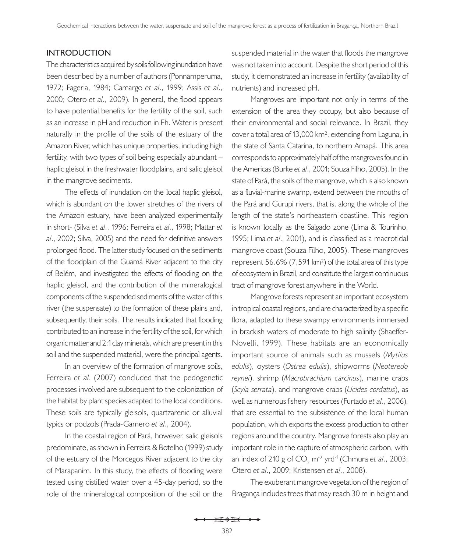### **INTRODUCTION**

The characteristics acquired by soils following inundation have been described by a number of authors (Ponnamperuma, 1972; Fageria, 1984; Camargo *et al*., 1999; Assis *et al*., 2000; Otero *et al*., 2009). In general, the flood appears to have potential benefits for the fertility of the soil, such as an increase in pH and reduction in Eh. Water is present naturally in the profile of the soils of the estuary of the Amazon River, which has unique properties, including high fertility, with two types of soil being especially abundant – haplic gleisol in the freshwater floodplains, and salic gleisol in the mangrove sediments.

The effects of inundation on the local haplic gleisol, which is abundant on the lower stretches of the rivers of the Amazon estuary, have been analyzed experimentally in short- (Silva *et al*., 1996; Ferreira *et al*., 1998; Mattar *et al*., 2002; Silva, 2005) and the need for definitive answers prolonged flood. The latter study focused on the sediments of the floodplain of the Guamá River adjacent to the city of Belém, and investigated the effects of flooding on the haplic gleisol, and the contribution of the mineralogical components of the suspended sediments of the water of this river (the suspensate) to the formation of these plains and, subsequently, their soils. The results indicated that flooding contributed to an increase in the fertility of the soil, for which organic matter and 2:1 clay minerals, which are present in this soil and the suspended material, were the principal agents.

In an overview of the formation of mangrove soils, Ferreira *et al*. (2007) concluded that the pedogenetic processes involved are subsequent to the colonization of the habitat by plant species adapted to the local conditions. These soils are typically gleisols, quartzarenic or alluvial typics or podzols (Prada-Gamero *et al*., 2004).

In the coastal region of Pará, however, salic gleisols predominate, as shown in Ferreira & Botelho (1999) study of the estuary of the Morcegos River adjacent to the city of Marapanim. In this study, the effects of flooding were tested using distilled water over a 45-day period, so the role of the mineralogical composition of the soil or the

suspended material in the water that floods the mangrove was not taken into account. Despite the short period of this study, it demonstrated an increase in fertility (availability of nutrients) and increased pH.

Mangroves are important not only in terms of the extension of the area they occupy, but also because of their environmental and social relevance. In Brazil, they cover a total area of 13,000 km², extending from Laguna, in the state of Santa Catarina, to northern Amapá. This area corresponds to approximately half of the mangroves found in the Americas (Burke *et al*., 2001; Souza Filho, 2005). In the state of Pará, the soils of the mangrove, which is also known as a fluvial-marine swamp, extend between the mouths of the Pará and Gurupi rivers, that is, along the whole of the length of the state's northeastern coastline. This region is known locally as the Salgado zone (Lima & Tourinho, 1995; Lima *et al*., 2001), and is classified as a macrotidal mangrove coast (Souza Filho, 2005). These mangroves represent 56.6% (7,591 km²) of the total area of this type of ecosystem in Brazil, and constitute the largest continuous tract of mangrove forest anywhere in the World.

Mangrove forests represent an important ecosystem in tropical coastal regions, and are characterized by a specific flora, adapted to these swampy environments immersed in brackish waters of moderate to high salinity (Shaeffer-Novelli, 1999). These habitats are an economically important source of animals such as mussels (*Mytilus edulis*), oysters (*Ostrea edulis*), shipworms (*Neoteredo reynei*), shrimp (*Macrobrachium carcinus*), marine crabs (*Scyla serrata*), and mangrove crabs (*Ucides cordatus*), as well as numerous fishery resources (Furtado *et al*., 2006), that are essential to the subsistence of the local human population, which exports the excess production to other regions around the country. Mangrove forests also play an important role in the capture of atmospheric carbon, with an index of 210 g of CO<sub>2</sub> m<sup>-2</sup> yrd<sup>-1</sup> (Chmura *et al.*, 2003; Otero *et al*., 2009; Kristensen *et al*., 2008).

The exuberant mangrove vegetation of the region of Bragança includes trees that may reach 30 m in height and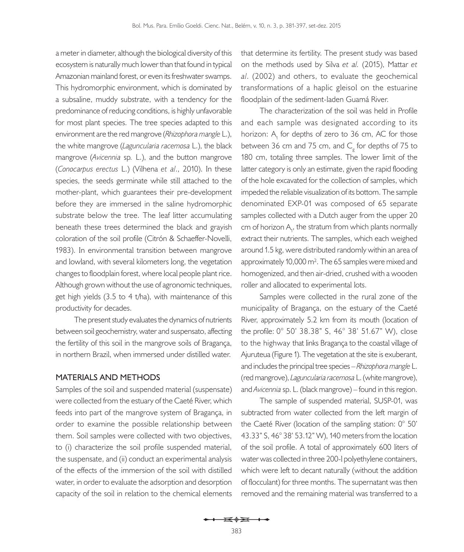a meter in diameter, although the biological diversity of this ecosystem is naturally much lower than that found in typical Amazonian mainland forest, or even its freshwater swamps. This hydromorphic environment, which is dominated by a subsaline, muddy substrate, with a tendency for the predominance of reducing conditions, is highly unfavorable for most plant species. The tree species adapted to this environment are the red mangrove (*Rhizophora mangle* L.), the white mangrove (*Laguncularia racemosa* L.), the black mangrove (*Avicennia* sp*.* L.), and the button mangrove (*Conocarpus erectus* L.) (Vilhena *et al*., 2010). In these species, the seeds germinate while still attached to the mother-plant, which guarantees their pre-development before they are immersed in the saline hydromorphic substrate below the tree. The leaf litter accumulating beneath these trees determined the black and grayish coloration of the soil profile (Citrón & Schaeffer-Novelli, 1983). In environmental transition between mangrove and lowland, with several kilometers long, the vegetation changes to floodplain forest, where local people plant rice. Although grown without the use of agronomic techniques, get high yields (3.5 to 4 t/ha), with maintenance of this productivity for decades.

The present study evaluates the dynamics of nutrients between soil geochemistry, water and suspensato, affecting the fertility of this soil in the mangrove soils of Bragança, in northern Brazil, when immersed under distilled water.

### **MATERIALS AND METHODS**

Samples of the soil and suspended material (suspensate) were collected from the estuary of the Caeté River, which feeds into part of the mangrove system of Bragança, in order to examine the possible relationship between them. Soil samples were collected with two objectives, to (i) characterize the soil profile suspended material, the suspensate, and (ii) conduct an experimental analysis of the effects of the immersion of the soil with distilled water, in order to evaluate the adsorption and desorption capacity of the soil in relation to the chemical elements

that determine its fertility. The present study was based on the methods used by Silva *et al.* (2015), Mattar *et al*. (2002) and others, to evaluate the geochemical transformations of a haplic gleisol on the estuarine floodplain of the sediment-laden Guamá River.

The characterization of the soil was held in Profile and each sample was designated according to its horizon: A<sub>1</sub> for depths of zero to 36 cm, AC for those between 36 cm and 75 cm, and  $C_g^{\dagger}$  for depths of 75 to 180 cm, totaling three samples. The lower limit of the latter category is only an estimate, given the rapid flooding of the hole excavated for the collection of samples, which impeded the reliable visualization of its bottom. The sample denominated EXP-01 was composed of 65 separate samples collected with a Dutch auger from the upper 20 cm of horizon  $A_{1}$ , the stratum from which plants normally extract their nutrients. The samples, which each weighed around 1.5 kg, were distributed randomly within an area of approximately 10,000 m². The 65 samples were mixed and homogenized, and then air-dried, crushed with a wooden roller and allocated to experimental lots.

Samples were collected in the rural zone of the municipality of Bragança, on the estuary of the Caeté River, approximately 5.2 km from its mouth (location of the profile: 0° 50' 38.38" S, 46° 38' 51.67" W), close to the highway that links Bragança to the coastal village of Ajuruteua (Figure 1). The vegetation at the site is exuberant, and includes the principal tree species – *Rhizophora mangle* L. (red mangrove), *Laguncularia racemosa* L. (white mangrove), and *Avicennia* sp. L. (black mangrove) – found in this region.

The sample of suspended material, SUSP-01, was subtracted from water collected from the left margin of the Caeté River (location of the sampling station: 0° 50' 43.33" S, 46° 38' 53.12" W), 140 meters from the location of the soil profile. A total of approximately 600 liters of water was collected in three 200-l polyethylene containers, which were left to decant naturally (without the addition of flocculant) for three months. The supernatant was then removed and the remaining material was transferred to a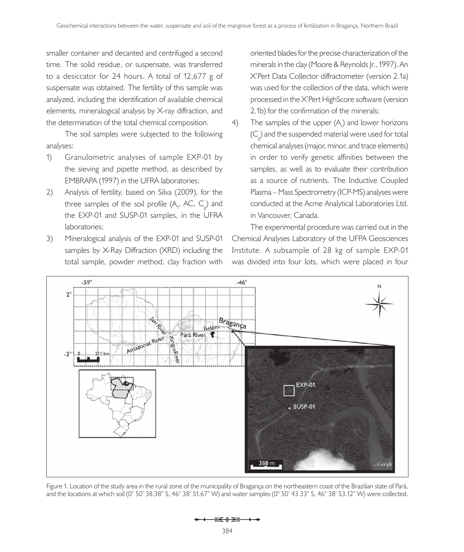smaller container and decanted and centrifuged a second time. The solid residue, or suspensate, was transferred to a desiccator for 24 hours. A total of 12,677 g of suspensate was obtained. The fertility of this sample was analyzed, including the identification of available chemical elements, mineralogical analysis by X-ray diffraction, and the determination of the total chemical composition.

The soil samples were subjected to the following analyses:

- 1) Granulometric analyses of sample EXP-01 by the sieving and pipette method, as described by EMBRAPA (1997) in the UFRA laboratories;
- 2) Analysis of fertility, based on Silva (2009), for the three samples of the soil profile  $(A_1, AC, C_g)$  and the EXP-01 and SUSP-01 samples, in the UFRA laboratories;
- 3) Mineralogical analysis of the EXP-01 and SUSP-01 samples by X-Ray Diffraction (XRD) including the total sample, powder method, clay fraction with

oriented blades for the precise characterization of the minerals in the clay (Moore & Reynolds Jr., 1997). An X'Pert Data Collector diffractometer (version 2.1a) was used for the collection of the data, which were processed in the X'Pert HighScore software (version 2.1b) for the confirmation of the minerals;

4) The samples of the upper  $(A_1)$  and lower horizons  $(C_{\rm g})$  and the suspended material were used for total chemical analyses (major, minor, and trace elements) in order to verify genetic affinities between the samples, as well as to evaluate their contribution as a source of nutrients. The Inductive Coupled Plasma – Mass Spectrometry (ICP-MS) analyses were conducted at the Acme Analytical Laboratories Ltd. in Vancouver, Canada.

The experimental procedure was carried out in the Chemical Analyses Laboratory of the UFPA Geosciences Institute. A subsample of 28 kg of sample EXP-01 was divided into four lots, which were placed in four



Figure 1. Location of the study area in the rural zone of the municipality of Bragança on the northeastern coast of the Brazilian state of Pará, and the locations at which soil (0° 50' 38.38" S, 46° 38' 51.67" W) and water samples (0° 50' 43.33" S, 46° 38' 53.12" W) were collected.

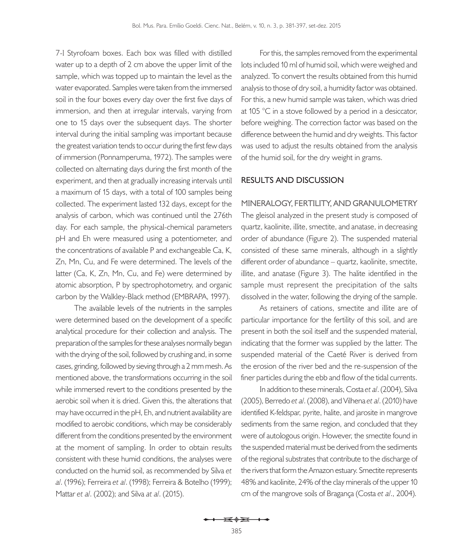7-l Styrofoam boxes. Each box was filled with distilled water up to a depth of 2 cm above the upper limit of the sample, which was topped up to maintain the level as the water evaporated. Samples were taken from the immersed soil in the four boxes every day over the first five days of immersion, and then at irregular intervals, varying from one to 15 days over the subsequent days. The shorter interval during the initial sampling was important because the greatest variation tends to occur during the first few days of immersion (Ponnamperuma, 1972). The samples were collected on alternating days during the first month of the experiment, and then at gradually increasing intervals until a maximum of 15 days, with a total of 100 samples being collected. The experiment lasted 132 days, except for the analysis of carbon, which was continued until the 276th day. For each sample, the physical-chemical parameters pH and Eh were measured using a potentiometer, and the concentrations of available P and exchangeable Ca, K, Zn, Mn, Cu, and Fe were determined. The levels of the latter (Ca, K, Zn, Mn, Cu, and Fe) were determined by atomic absorption, P by spectrophotometry, and organic carbon by the Walkley-Black method (EMBRAPA, 1997).

The available levels of the nutrients in the samples were determined based on the development of a specific analytical procedure for their collection and analysis. The preparation of the samples for these analyses normally began with the drying of the soil, followed by crushing and, in some cases, grinding, followed by sieving through a 2 mm mesh. As mentioned above, the transformations occurring in the soil while immersed revert to the conditions presented by the aerobic soil when it is dried. Given this, the alterations that may have occurred in the pH, Eh, and nutrient availability are modified to aerobic conditions, which may be considerably different from the conditions presented by the environment at the moment of sampling. In order to obtain results consistent with these humid conditions, the analyses were conducted on the humid soil, as recommended by Silva *et al*. (1996); Ferreira *et al*. (1998); Ferreira & Botelho (1999); Mattar *et al*. (2002); and Silva *at al*. (2015).

For this, the samples removed from the experimental lots included 10 ml of humid soil, which were weighed and analyzed. To convert the results obtained from this humid analysis to those of dry soil, a humidity factor was obtained. For this, a new humid sample was taken, which was dried at 105 °C in a stove followed by a period in a desiccator, before weighing. The correction factor was based on the difference between the humid and dry weights. This factor was used to adjust the results obtained from the analysis of the humid soil, for the dry weight in grams.

#### **RESULTS AND DISCUSSION**

**MINERALOGY, FERTILITY, AND GRANULOMETRY** The gleisol analyzed in the present study is composed of quartz, kaolinite, illite, smectite, and anatase, in decreasing order of abundance (Figure 2). The suspended material consisted of these same minerals, although in a slightly different order of abundance – quartz, kaolinite, smectite, illite, and anatase (Figure 3). The halite identified in the sample must represent the precipitation of the salts dissolved in the water, following the drying of the sample.

As retainers of cations, smectite and illite are of particular importance for the fertility of this soil, and are present in both the soil itself and the suspended material, indicating that the former was supplied by the latter. The suspended material of the Caeté River is derived from the erosion of the river bed and the re-suspension of the finer particles during the ebb and flow of the tidal currents.

In addition to these minerals, Costa *et al*. (2004), Silva (2005), Berredo *et al*. (2008), and Vilhena *et al*. (2010) have identified K-feldspar, pyrite, halite, and jarosite in mangrove sediments from the same region, and concluded that they were of autologous origin. However, the smectite found in the suspended material must be derived from the sediments of the regional substrates that contribute to the discharge of the rivers that form the Amazon estuary. Smectite represents 48% and kaolinite, 24% of the clay minerals of the upper 10 cm of the mangrove soils of Bragança (Costa *et al*., 2004).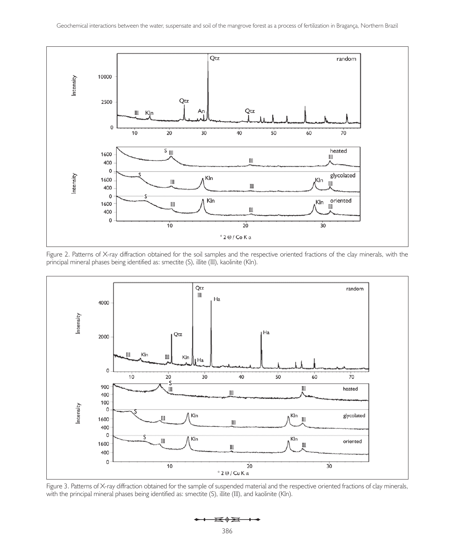





Figure 3. Patterns of X-ray diffraction obtained for the sample of suspended material and the respective oriented fractions of clay minerals, with the principal mineral phases being identified as: smectite (S), illite (III), and kaolinite (KIn).

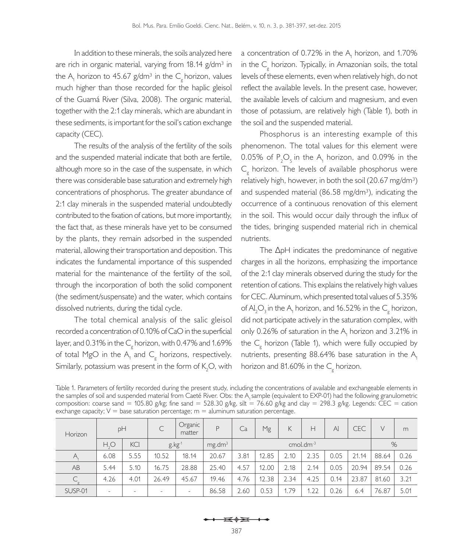In addition to these minerals, the soils analyzed here are rich in organic material, varying from 18.14 g/dm<sup>3</sup> in the A<sub>1</sub> horizon to 45.67 g/dm<sup>3</sup> in the C<sub>g</sub> horizon, values much higher than those recorded for the haplic gleisol of the Guamá River (Silva, 2008). The organic material, together with the 2:1 clay minerals, which are abundant in these sediments, is important for the soil's cation exchange capacity (CEC).

The results of the analysis of the fertility of the soils and the suspended material indicate that both are fertile, although more so in the case of the suspensate, in which there was considerable base saturation and extremely high concentrations of phosphorus. The greater abundance of 2:1 clay minerals in the suspended material undoubtedly contributed to the fixation of cations, but more importantly, the fact that, as these minerals have yet to be consumed by the plants, they remain adsorbed in the suspended material, allowing their transportation and deposition. This indicates the fundamental importance of this suspended material for the maintenance of the fertility of the soil, through the incorporation of both the solid component (the sediment/suspensate) and the water, which contains dissolved nutrients, during the tidal cycle.

The total chemical analysis of the salic gleisol recorded a concentration of 0.10% of CaO in the superficial layer, and 0.31% in the  $\textsf{C}_{\!\scriptscriptstyle g}^{\!\scriptscriptstyle \rm g}$  horizon, with 0.47% and 1.69% of total MgO in the  $A_1$  and  $C_g$  horizons, respectively. Similarly, potassium was present in the form of  $\mathsf{K}_{2}\mathsf{O},$  with

a concentration of 0.72% in the  $A_1$  horizon, and 1.70% in the  $C_{\rm g}$  horizon. Typically, in Amazonian soils, the total levels of these elements, even when relatively high, do not reflect the available levels. In the present case, however, the available levels of calcium and magnesium, and even those of potassium, are relatively high (Table 1), both in the soil and the suspended material.

Phosphorus is an interesting example of this phenomenon. The total values for this element were 0.05% of  $P_2O_5$  in the A<sub>1</sub> horizon, and 0.09% in the  $C_{\rm g}$  horizon. The levels of available phosphorus were relatively high, however, in both the soil (20.67 mg/dm<sup>3</sup>) and suspended material  $(86.58 \text{ mg/dm}^3)$ , indicating the occurrence of a continuous renovation of this element in the soil. This would occur daily through the influx of the tides, bringing suspended material rich in chemical nutrients.

The ΔpH indicates the predominance of negative charges in all the horizons, emphasizing the importance of the 2:1 clay minerals observed during the study for the retention of cations. This explains the relatively high values for CEC. Aluminum, which presented total values of 5.35% of Al<sub>2</sub>O<sub>3</sub> in the A<sub>1</sub> horizon, and 16.52% in the C<sub>g</sub> horizon, did not participate actively in the saturation complex, with only 0.26% of saturation in the  $A_1$  horizon and 3.21% in the  $C_g$  horizon (Table 1), which were fully occupied by nutrients, presenting  $88.64\%$  base saturation in the A<sub>1</sub> horizon and 81.60% in the  $C_{\rm g}^{\rm c}$  horizon.

| Table 1. Parameters of fertility recorded during the present study, including the concentrations of available and exchangeable elements in |
|--------------------------------------------------------------------------------------------------------------------------------------------|
| the samples of soil and suspended material from Caeté River. Obs: the A, sample (equivalent to EXP-01) had the following granulometric     |
| composition: coarse sand = 105.80 g/kg; fine sand = 528.30 g/kg, silt = 76.60 g/kg and clay = 298.3 g/kg. Legends: CEC = cation            |
| exchange capacity; $V =$ base saturation percentage; $m =$ aluminum saturation percentage.                                                 |

| Horizon | pH           |                            |       | Organic<br>matter        | P                  | Ca                       | Mg    | К    | н    | $\mathsf{A}$ | <b>CEC</b> | V     | m    |
|---------|--------------|----------------------------|-------|--------------------------|--------------------|--------------------------|-------|------|------|--------------|------------|-------|------|
|         | $H_{\circ}O$ | <b>KCI</b><br>$g$ . $kg-1$ |       |                          | mg.dm <sup>3</sup> | $cmol.$ dm <sup>-3</sup> |       |      |      |              | %          |       |      |
| A,      | 6.08         | 5.55                       | 10.52 | 18.14                    | 20.67              | 3.81                     | 12.85 | 2.10 | 2.35 | 0.05         | 21.14      | 88.64 | 0.26 |
| AB      | 5.44         | 5.10                       | 16.75 | 28.88                    | 25.40              | 4.57                     | 12.00 | 2.18 | 2.14 | 0.05         | 20.94      | 89.54 | 0.26 |
|         | 4.26         | 4.01                       | 26.49 | 45.67                    | 19.46              | 4.76                     | 12.38 | 2.34 | 4.25 | 0.14         | 23.87      | 81.60 | 3.21 |
| SUSP-01 | -            | $\overline{\phantom{0}}$   |       | $\overline{\phantom{a}}$ | 86.58              | 2.60                     | 0.53  | 1.79 | 1.22 | 0.26         | 6.4        | 76.87 | 5.01 |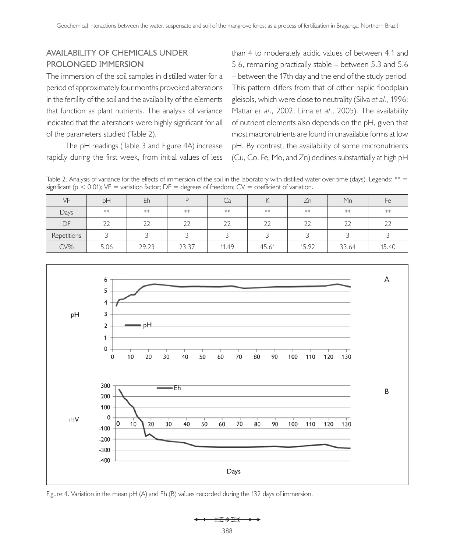## **AVAILABILITY OF CHEMICALS UNDER PROLONGED IMMERSION**

The immersion of the soil samples in distilled water for a period of approximately four months provoked alterations in the fertility of the soil and the availability of the elements that function as plant nutrients. The analysis of variance indicated that the alterations were highly significant for all of the parameters studied (Table 2).

The pH readings (Table 3 and Figure 4A) increase rapidly during the first week, from initial values of less

than 4 to moderately acidic values of between 4.1 and 5.6, remaining practically stable – between 5.3 and 5.6 – between the 17th day and the end of the study period. This pattern differs from that of other haplic floodplain gleisols, which were close to neutrality (Silva *et al*., 1996; Mattar *et al*., 2002; Lima *et al*., 2005). The availability of nutrient elements also depends on the pH, given that most macronutrients are found in unavailable forms at low pH. By contrast, the availability of some micronutrients (Cu, Co, Fe, Mo, and Zn) declines substantially at high pH

Table 2. Analysis of variance for the effects of immersion of the soil in the laboratory with distilled water over time (days). Legends: \*\* = significant ( $p < 0.01$ ); VF = variation factor; DF = degrees of freedom; CV = coefficient of variation.

| VF          | рH   | Eh    | D     | آب    | ↖     | $\overline{\phantom{0}}$<br>$\angle n$ | Mn    | Fe     |
|-------------|------|-------|-------|-------|-------|----------------------------------------|-------|--------|
| Days        | **   | **    | **    | **    | **    | **                                     | **    | **     |
| <b>DF</b>   | 22   | 22    | 22    | 22    | 22    | 22                                     | 22    | $\sim$ |
| Repetitions |      |       |       |       |       |                                        |       |        |
| CV%         | 5.06 | 29.23 | 23.37 | 11.49 | 45.61 | 15.92                                  | 33.64 | 15.40  |



Figure 4. Variation in the mean pH (A) and Eh (B) values recorded during the 132 days of immersion.

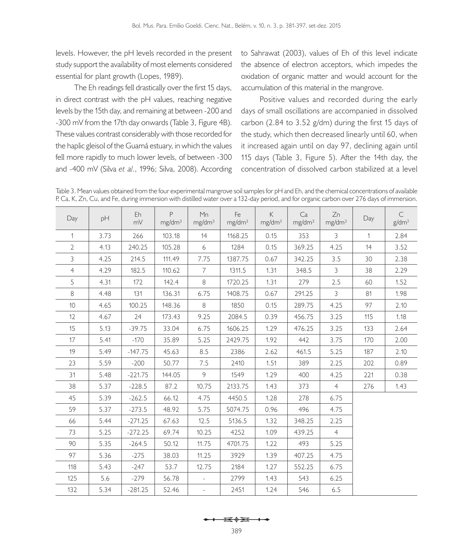levels. However, the pH levels recorded in the present study support the availability of most elements considered essential for plant growth (Lopes, 1989).

The Eh readings fell drastically over the first 15 days, in direct contrast with the pH values, reaching negative levels by the 15th day, and remaining at between -200 and -300 mV from the 17th day onwards (Table 3, Figure 4B). These values contrast considerably with those recorded for the haplic gleisol of the Guamá estuary, in which the values fell more rapidly to much lower levels, of between -300 and -400 mV (Silva *et al*., 1996; Silva, 2008). According

to Sahrawat (2003), values of Eh of this level indicate the absence of electron acceptors, which impedes the oxidation of organic matter and would account for the accumulation of this material in the mangrove.

Positive values and recorded during the early days of small oscillations are accompanied in dissolved carbon (2.84 to 3.52 g/dm) during the first 15 days of the study, which then decreased linearly until 60, when it increased again until on day 97, declining again until 115 days (Table 3, Figure 5). After the 14th day, the concentration of dissolved carbon stabilized at a level

Table 3. Mean values obtained from the four experimental mangrove soil samples for pH and Eh, and the chemical concentrations of available P, Ca, K, Zn, Cu, and Fe, during immersion with distilled water over a 132-day period, and for organic carbon over 276 days of immersion.

| Day             | pH   | Eh<br>mV  | P<br>mg/dm <sup>3</sup> | Mn<br>mg/dm <sup>3</sup> | Fe<br>mg/dm <sup>3</sup> | $\mathsf K$<br>mg/dm <sup>3</sup> | Ca<br>mg/dm <sup>3</sup> | Zn<br>mg/dm <sup>3</sup> | Day | $\subset$<br>g/dm <sup>3</sup> |
|-----------------|------|-----------|-------------------------|--------------------------|--------------------------|-----------------------------------|--------------------------|--------------------------|-----|--------------------------------|
| 1               | 3.73 | 266       | 103.18                  | 14                       | 1168.25                  | 0.15                              | 353                      | 3                        | 1   | 2.84                           |
| 2               | 4.13 | 240.25    | 105.28                  | 6                        | 1284                     | 0.15                              | 369.25                   | 4.25                     | 14  | 3.52                           |
| 3               | 4.25 | 214.5     | 111.49                  | 7.75                     | 1387.75                  | 0.67                              | 342.25                   | 3.5                      | 30  | 2.38                           |
| 4               | 4.29 | 182.5     | 110.62                  | 7                        | 1311.5                   | 1.31                              | 348.5                    | 3                        | 38  | 2.29                           |
| 5               | 4.31 | 172       | 142.4                   | 8                        | 1720.25                  | 1.31                              | 279                      | 2.5                      | 60  | 1.52                           |
| 8               | 4.48 | 131       | 136.31                  | 6.75                     | 1408.75                  | 0.67                              | 291.25                   | 3                        | 81  | 1.98                           |
| 10 <sup>1</sup> | 4.65 | 100.25    | 148.36                  | 8                        | 1850                     | 0.15                              | 289.75                   | 4.25                     | 97  | 2.10                           |
| 12              | 4.67 | 24        | 173.43                  | 9.25                     | 2084.5                   | 0.39                              | 456.75                   | 3.25                     | 115 | 1.18                           |
| 15              | 5.13 | $-39.75$  | 33.04                   | 6.75                     | 1606.25                  | 1.29                              | 476.25                   | 3.25                     | 133 | 2.64                           |
| 17              | 5.41 | $-170$    | 35.89                   | 5.25                     | 2429.75                  | 1.92                              | 442                      | 3.75                     | 170 | 2.00                           |
| 19              | 5.49 | $-147.75$ | 45.63                   | 8.5                      | 2386                     | 2.62                              | 461.5                    | 5.25                     | 187 | 2.10                           |
| 23              | 5.59 | $-200$    | 50.77                   | 7.5                      | 2410                     | 1.51                              | 389                      | 2.25                     | 202 | 0.89                           |
| 31              | 5.48 | $-221.75$ | 144.05                  | 9                        | 1549                     | 1.29                              | 400                      | 4.25                     | 221 | 0.38                           |
| 38              | 5.37 | $-228.5$  | 87.2                    | 10.75                    | 2133.75                  | 1.43                              | 373                      | $\overline{4}$           | 276 | 1.43                           |
| 45              | 5.39 | $-262.5$  | 66.12                   | 4.75                     | 4450.5                   | 1.28                              | 278                      | 6.75                     |     |                                |
| 59              | 5.37 | $-273.5$  | 48.92                   | 5.75                     | 5074.75                  | 0.96                              | 496                      | 4.75                     |     |                                |
| 66              | 5.44 | $-271.25$ | 67.63                   | 12.5                     | 5136.5                   | 1.32                              | 348.25                   | 2.25                     |     |                                |
| 73              | 5.25 | $-272.25$ | 69.74                   | 10.25                    | 4252                     | 1.09                              | 439.25                   | $\overline{4}$           |     |                                |
| 90              | 5.35 | $-264.5$  | 50.12                   | 11.75                    | 4701.75                  | 1.22                              | 493                      | 5.25                     |     |                                |
| 97              | 5.36 | $-275$    | 38.03                   | 11.25                    | 3929                     | 1.39                              | 407.25                   | 4.75                     |     |                                |
| 118             | 5.43 | $-247$    | 53.7                    | 12.75                    | 2184                     | 1.27                              | 552.25                   | 6.75                     |     |                                |
| 125             | 5.6  | $-279$    | 56.78                   |                          | 2799                     | 1.43                              | 543                      | 6.25                     |     |                                |
| 132             | 5.34 | $-281.25$ | 52.46                   | $\bar{a}$                | 2451                     | 1.24                              | 546                      | 6.5                      |     |                                |

$$
\leftarrow \leftarrow \rightarrow \rightarrow
$$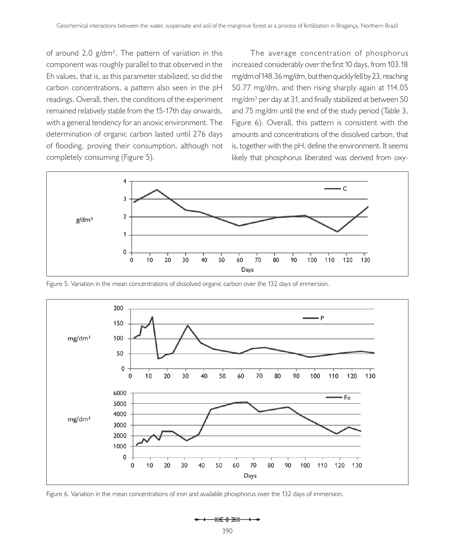of around 2.0  $g/dm^3$ . The pattern of variation in this component was roughly parallel to that observed in the Eh values, that is, as this parameter stabilized, so did the carbon concentrations, a pattern also seen in the pH readings. Overall, then, the conditions of the experiment remained relatively stable from the 15-17th day onwards, with a general tendency for an anoxic environment. The determination of organic carbon lasted until 276 days of flooding, proving their consumption, although not completely consuming (Figure 5).

The average concentration of phosphorus increased considerably over the first 10 days, from 103.18 mg/dm of 148.36 mg/dm, but then quickly fell by 23, reaching 50.77 mg/dm, and then rising sharply again at 114.05 mg/dm<sup>3</sup> per day at 31, and finally stabilized at between 50 and 75 mg/dm until the end of the study period (Table 3, Figure 6). Overall, this pattern is consistent with the amounts and concentrations of the dissolved carbon, that is, together with the pH, define the environment. It seems likely that phosphorus liberated was derived from oxy-



Figure 5. Variation in the mean concentrations of dissolved organic carbon over the 132 days of immersion.



Figure 6. Variation in the mean concentrations of iron and available phosphorus over the 132 days of immersion.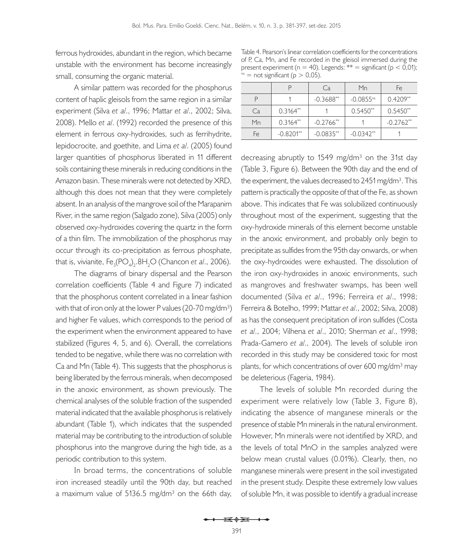ferrous hydroxides, abundant in the region, which became unstable with the environment has become increasingly small, consuming the organic material.

A similar pattern was recorded for the phosphorus content of haplic gleisols from the same region in a similar experiment (Silva *et al*., 1996; Mattar *et al*., 2002; Silva, 2008). Mello *et al*. (1992) recorded the presence of this element in ferrous oxy-hydroxides, such as ferrihydrite, lepidocrocite, and goethite, and Lima *et al*. (2005) found larger quantities of phosphorus liberated in 11 different soils containing these minerals in reducing conditions in the Amazon basin. These minerals were not detected by XRD, although this does not mean that they were completely absent. In an analysis of the mangrove soil of the Marapanim River, in the same region (Salgado zone), Silva (2005) only observed oxy-hydroxides covering the quartz in the form of a thin film. The immobilization of the phosphorus may occur through its co-precipitation as ferrous phosphate, that is, vivianite, Fe<sub>3</sub>(PO<sub>4</sub>)<sub>2</sub>.8H<sub>2</sub>O (Chancon *et al*., 2006).

The diagrams of binary dispersal and the Pearson correlation coefficients (Table 4 and Figure 7) indicated that the phosphorus content correlated in a linear fashion with that of iron only at the lower P values (20-70 mg/dm<sup>3</sup>) and higher Fe values, which corresponds to the period of the experiment when the environment appeared to have stabilized (Figures 4, 5, and 6). Overall, the correlations tended to be negative, while there was no correlation with Ca and Mn (Table 4). This suggests that the phosphorus is being liberated by the ferrous minerals, when decomposed in the anoxic environment, as shown previously. The chemical analyses of the soluble fraction of the suspended material indicated that the available phosphorus is relatively abundant (Table 1), which indicates that the suspended material may be contributing to the introduction of soluble phosphorus into the mangrove during the high tide, as a periodic contribution to this system.

In broad terms, the concentrations of soluble iron increased steadily until the 90th day, but reached a maximum value of 5136.5 mg/dm<sup>3</sup> on the 66th day,

Table 4. Pearson's linear correlation coefficients for the concentrations of P, Ca, Mn, and Fe recorded in the gleisol immersed during the present experiment (n = 40). Legends:  $** =$  significant (p < 0,01);  $n s$  = not significant ( $p > 0.05$ ).

|    |                | Ca                      | Mn                      | Fe          |  |
|----|----------------|-------------------------|-------------------------|-------------|--|
|    |                | $-0.3688**$             | $-0.0855$ <sup>ns</sup> | $0.4209**$  |  |
| Ca | $0.3164^{**}$  |                         | $0.5450**$              | $0.5450**$  |  |
| Mn | $0.3164**$     | $-0.2766$ <sup>**</sup> |                         | $-0.2762**$ |  |
| Fe | $-0.8201^{**}$ | $-0.0835**$             | $-0.0342**$             |             |  |

decreasing abruptly to 1549 mg/dm<sup>3</sup> on the 31st day (Table 3, Figure 6). Between the 90th day and the end of the experiment, the values decreased to  $2451$  mg/dm<sup>3</sup>. This pattern is practically the opposite of that of the Fe, as shown above. This indicates that Fe was solubilized continuously throughout most of the experiment, suggesting that the oxy-hydroxide minerals of this element become unstable in the anoxic environment, and probably only begin to precipitate as sulfides from the 95th day onwards, or when the oxy-hydroxides were exhausted. The dissolution of the iron oxy-hydroxides in anoxic environments, such as mangroves and freshwater swamps, has been well documented (Silva *et al*., 1996; Ferreira *et al*., 1998; Ferreira & Botelho, 1999; Mattar *et al*., 2002; Silva, 2008) as has the consequent precipitation of iron sulfides (Costa *et al*., 2004; Vilhena *et al*., 2010; Sherman *et al*., 1998; Prada-Gamero *et al*., 2004). The levels of soluble iron recorded in this study may be considered toxic for most plants, for which concentrations of over 600 mg/dm<sup>3</sup> may be deleterious (Fageria, 1984).

The levels of soluble Mn recorded during the experiment were relatively low (Table 3, Figure 8), indicating the absence of manganese minerals or the presence of stable Mn minerals in the natural environment. However, Mn minerals were not identified by XRD, and the levels of total MnO in the samples analyzed were below mean crustal values (0.01%). Clearly, then, no manganese minerals were present in the soil investigated in the present study. Despite these extremely low values of soluble Mn, it was possible to identify a gradual increase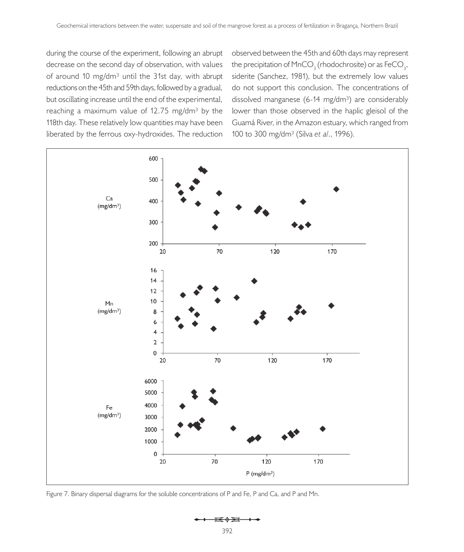during the course of the experiment, following an abrupt decrease on the second day of observation, with values of around 10 mg/dm<sup>3</sup> until the 31st day, with abrupt reductions on the 45th and 59th days, followed by a gradual, but oscillating increase until the end of the experimental, reaching a maximum value of 12.75 mg/dm<sup>3</sup> by the 118th day. These relatively low quantities may have been liberated by the ferrous oxy-hydroxides. The reduction

observed between the 45th and 60th days may represent the precipitation of  $\mathsf{MnCO}_3^{\phantom{\dagger}}$  (rhodochrosite) or as FeCO<sub>3</sub>, siderite (Sanchez, 1981), but the extremely low values do not support this conclusion. The concentrations of dissolved manganese (6-14 mg/dm<sup>3</sup>) are considerably lower than those observed in the haplic gleisol of the Guamá River, in the Amazon estuary, which ranged from 100 to 300 mg/dm³ (Silva *et al*., 1996).



Figure 7. Binary dispersal diagrams for the soluble concentrations of P and Fe, P and Ca, and P and Mn.

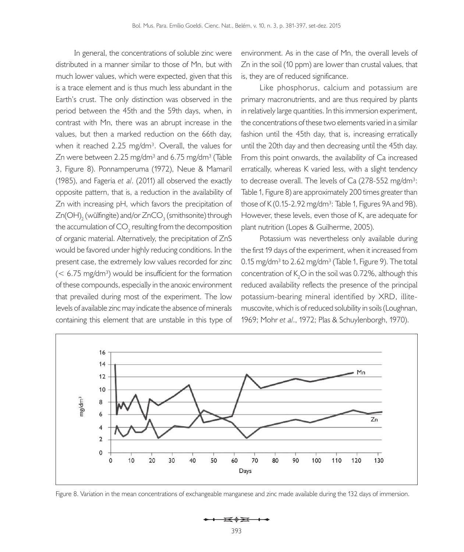In general, the concentrations of soluble zinc were distributed in a manner similar to those of Mn, but with much lower values, which were expected, given that this is a trace element and is thus much less abundant in the Earth's crust. The only distinction was observed in the period between the 45th and the 59th days, when, in contrast with Mn, there was an abrupt increase in the values, but then a marked reduction on the 66th day, when it reached  $2.25 \text{ mg/dm}^3$ . Overall, the values for Zn were between  $2.25$  mg/dm<sup>3</sup> and  $6.75$  mg/dm<sup>3</sup> (Table 3, Figure 8). Ponnamperuma (1972), Neue & Mamaril (1985), and Fageria *et al*. (2011) all observed the exactly opposite pattern, that is, a reduction in the availability of Zn with increasing pH, which favors the precipitation of Zn(OH) $_2$  (wülfingite) and/or ZnCO $_3$  (smithsonite) through the accumulation of CO<sub>2</sub> resulting from the decomposition of organic material. Alternatively, the precipitation of ZnS would be favored under highly reducing conditions. In the present case, the extremely low values recorded for zinc  $(< 6.75$  mg/dm<sup>3</sup>) would be insufficient for the formation of these compounds, especially in the anoxic environment that prevailed during most of the experiment. The low levels of available zinc may indicate the absence of minerals containing this element that are unstable in this type of

environment. As in the case of Mn, the overall levels of Zn in the soil (10 ppm) are lower than crustal values, that is, they are of reduced significance.

Like phosphorus, calcium and potassium are primary macronutrients, and are thus required by plants in relatively large quantities. In this immersion experiment, the concentrations of these two elements varied in a similar fashion until the 45th day, that is, increasing erratically until the 20th day and then decreasing until the 45th day. From this point onwards, the availability of Ca increased erratically, whereas K varied less, with a slight tendency to decrease overall. The levels of Ca  $(278-552 \text{ mg/dm}^3)$ : Table 1, Figure 8) are approximately 200 times greater than those of K  $(0.15-2.92 \text{ mg/dm}^3)$ : Table 1, Figures 9A and 9B). However, these levels, even those of K, are adequate for plant nutrition (Lopes & Guilherme, 2005).

Potassium was nevertheless only available during the first 19 days of the experiment, when it increased from 0.15 mg/dm<sup>3</sup> to 2.62 mg/dm<sup>3</sup> (Table 1, Figure 9). The total concentration of  $K_{2}O$  in the soil was 0.72%, although this reduced availability reflects the presence of the principal potassium-bearing mineral identified by XRD, illitemuscovite, which is of reduced solubility in soils (Loughnan, 1969; Mohr *et al*., 1972; Plas & Schuylenborgh, 1970).



Figure 8. Variation in the mean concentrations of exchangeable manganese and zinc made available during the 132 days of immersion.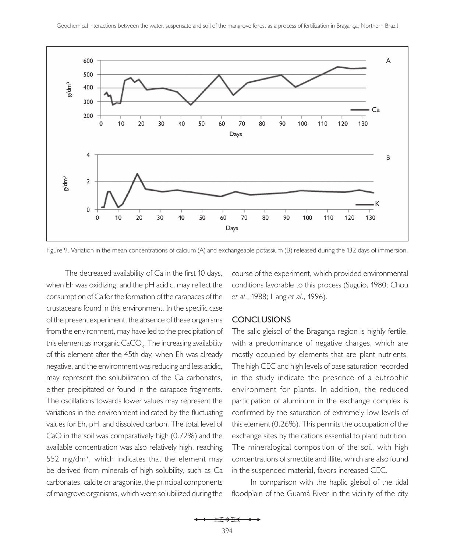

Figure 9. Variation in the mean concentrations of calcium (A) and exchangeable potassium (B) released during the 132 days of immersion.

The decreased availability of Ca in the first 10 days, when Eh was oxidizing, and the pH acidic, may reflect the consumption of Ca for the formation of the carapaces of the crustaceans found in this environment. In the specific case of the present experiment, the absence of these organisms from the environment, may have led to the precipitation of this element as inorganic CaCO<sub>3</sub>. The increasing availability of this element after the 45th day, when Eh was already negative, and the environment was reducing and less acidic, may represent the solubilization of the Ca carbonates, either precipitated or found in the carapace fragments. The oscillations towards lower values may represent the variations in the environment indicated by the fluctuating values for Eh, pH, and dissolved carbon. The total level of CaO in the soil was comparatively high (0.72%) and the available concentration was also relatively high, reaching 552 mg/dm<sup>3</sup>, which indicates that the element may be derived from minerals of high solubility, such as Ca carbonates, calcite or aragonite, the principal components of mangrove organisms, which were solubilized during the

course of the experiment, which provided environmental conditions favorable to this process (Suguio, 1980; Chou *et al*., 1988; Liang *et al*., 1996).

### **CONCLUSIONS**

The salic gleisol of the Bragança region is highly fertile, with a predominance of negative charges, which are mostly occupied by elements that are plant nutrients. The high CEC and high levels of base saturation recorded in the study indicate the presence of a eutrophic environment for plants. In addition, the reduced participation of aluminum in the exchange complex is confirmed by the saturation of extremely low levels of this element (0.26%). This permits the occupation of the exchange sites by the cations essential to plant nutrition. The mineralogical composition of the soil, with high concentrations of smectite and illite, which are also found in the suspended material, favors increased CEC.

In comparison with the haplic gleisol of the tidal floodplain of the Guamá River in the vicinity of the city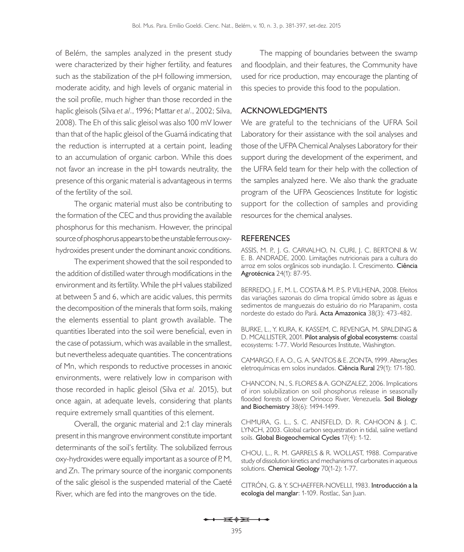of Belém, the samples analyzed in the present study were characterized by their higher fertility, and features such as the stabilization of the pH following immersion, moderate acidity, and high levels of organic material in the soil profile, much higher than those recorded in the haplic gleisols (Silva *et al*., 1996; Mattar *et al*., 2002; Silva, 2008). The Eh of this salic gleisol was also 100 mV lower than that of the haplic gleisol of the Guamá indicating that the reduction is interrupted at a certain point, leading to an accumulation of organic carbon. While this does not favor an increase in the pH towards neutrality, the presence of this organic material is advantageous in terms of the fertility of the soil.

The organic material must also be contributing to the formation of the CEC and thus providing the available phosphorus for this mechanism. However, the principal source of phosphorus appears to be the unstable ferrous oxyhydroxides present under the dominant anoxic conditions.

The experiment showed that the soil responded to the addition of distilled water through modifications in the environment and its fertility. While the pH values stabilized at between 5 and 6, which are acidic values, this permits the decomposition of the minerals that form soils, making the elements essential to plant growth available. The quantities liberated into the soil were beneficial, even in the case of potassium, which was available in the smallest, but nevertheless adequate quantities. The concentrations of Mn, which responds to reductive processes in anoxic environments, were relatively low in comparison with those recorded in haplic gleisol (Silva *et al.* 2015), but once again, at adequate levels, considering that plants require extremely small quantities of this element.

Overall, the organic material and 2:1 clay minerals present in this mangrove environment constitute important determinants of the soil's fertility. The solubilized ferrous oxy-hydroxides were equally important as a source of P, M, and Zn. The primary source of the inorganic components of the salic gleisol is the suspended material of the Caeté River, which are fed into the mangroves on the tide.

The mapping of boundaries between the swamp and floodplain, and their features, the Community have used for rice production, may encourage the planting of this species to provide this food to the population.

### **ACKNOWLEDGMENTS**

We are grateful to the technicians of the UFRA Soil Laboratory for their assistance with the soil analyses and those of the UFPA Chemical Analyses Laboratory for their support during the development of the experiment, and the UFRA field team for their help with the collection of the samples analyzed here. We also thank the graduate program of the UFPA Geosciences Institute for logistic support for the collection of samples and providing resources for the chemical analyses.

### **REFERENCES**

ASSIS, M. P., J. G. CARVALHO, N. CURI, J. C. BERTONI & W. E. B. ANDRADE, 2000. Limitações nutricionais para a cultura do arroz em solos orgânicos sob inundação. I. Crescimento. **Ciência Agrotécnica** 24(1): 87-95.

BERREDO, J. F., M. L. COSTA & M. P. S. P. VILHENA, 2008. Efeitos das variações sazonais do clima tropical úmido sobre as águas e sedimentos de manguezais do estuário do rio Marapanim, costa nordeste do estado do Pará. **Acta Amazonica** 38(3): 473-482.

BURKE, L., Y. KURA, K. KASSEM, C. REVENGA, M. SPALDING & D. MCALLISTER, 2001. **Pilot analysis of global ecosystems**: coastal ecosystems: 1-77. World Resources Institute, Washington.

CAMARGO, F. A. O., G. A. SANTOS & E. ZONTA, 1999. Alterações eletroquímicas em solos inundados. **Ciência Rural** 29(1): 171-180.

CHANCON, N., S. FLORES & A. GONZALEZ, 2006. Implications of iron solubilization on soil phosphorus release in seasonally flooded forests of lower Orinoco River, Venezuela. **Soil Biology and Biochemistry** 38(6): 1494-1499.

CHMURA, G. L., S. C. ANISFELD, D. R. CAHOON & J. C. LYNCH, 2003. Global carbon sequestration in tidal, saline wetland soils. **Global Biogeochemical Cycles** 17(4): 1-12.

CHOU, L., R. M. GARRELS & R. WOLLAST, 1988. Comparative study of dissolution kinetics and mechanisms of carbonates in aqueous solutions. **Chemical Geology** 70(1-2): 1-77.

CITRÓN, G. & Y. SCHAEFFER-NOVELLI, 1983. **Introducción a la ecologia del manglar**: 1-109. Rostlac, San Juan.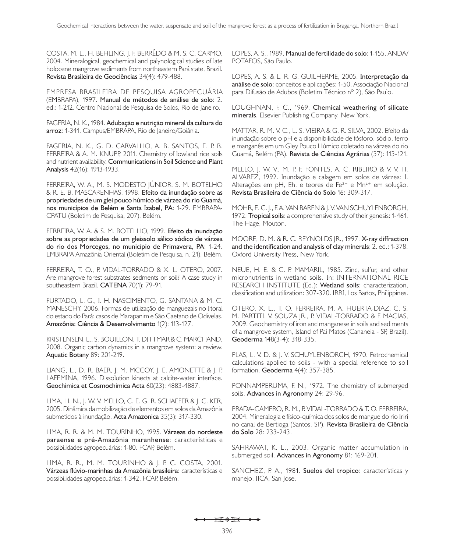COSTA, M. L., H. BEHLING, J. F. BERRÊDO & M. S. C. CARMO, 2004. Mineralogical, geochemical and palynological studies of late holocene mangrove sediments from northeastern Pará state, Brazil. **Revista Brasileira de Geociências** 34(4): 479-488.

EMPRESA BRASILEIRA DE PESQUISA AGROPECUÁRIA (EMBRAPA), 1997. **Manual de métodos de análise de solo**: 2. ed.: 1-212. Centro Nacional de Pesquisa de Solos, Rio de Janeiro.

FAGERIA, N. K., 1984. **Adubação e nutrição mineral da cultura do**  arroz: 1-341. Campus/EMBRAPA, Rio de Janeiro/Goiânia.

FAGERIA, N. K., G. D. CARVALHO, A. B. SANTOS, E. P. B. FERREIRA & A. M. KNUPP, 2011. Chemistry of lowland rice soils and nutrient availability. **Communications in Soil Science and Plant Analysis** 42(16): 1913-1933.

FERREIRA, W. A., M. S. MODESTO JÚNIOR, S. M. BOTELHO & R. E. B. MASCARENHAS, 1998. **Efeito da inundação sobre as propriedades de um glei pouco húmico de várzea do rio Guamá,**  nos municípios de Belém e Santa Izabel, PA: 1-29. EMBRAPA-CPATU (Boletim de Pesquisa, 207), Belém.

FERREIRA, W. A. & S. M. BOTELHO, 1999. **Efeito da inundação sobre as propriedades de um gleissolo sálico sódico de várzea do rio dos Morcegos, no município de Primavera, PA**: 1-24. EMBRAPA Amazônia Oriental (Boletim de Pesquisa, n. 21), Belém.

FERREIRA, T. O., P. VIDAL-TORRADO & X. L. OTERO, 2007. Are mangrove forest substrates sedments or soil? A case study in southeastern Brazil. **CATENA** 70(1): 79-91.

FURTADO, L. G., I. H. NASCIMENTO, G. SANTANA & M. C. MANESCHY, 2006. Formas de utilização de manguezais no litoral do estado do Pará: casos de Marapanim e São Caetano de Odivelas. **Amazônia: Ciência & Desenvolvimento** 1(2): 113-127.

KRISTENSEN, E., S. BOUILLON, T. DITTMAR & C. MARCHAND, 2008. Organic carbon dynamics in a mangrove system: a review. **Aquatic Botany** 89: 201-219.

LIANG, L., D. R. BAER, J. M. MCCOY, J. E. AMONETTE & J. P. LAFEMINA, 1996. Dissolution kinects at calcite-water interface. **Geochimica et Cosmochimica Acta** 60(23): 4883-4887.

LIMA, H. N., J. W. V. MELLO, C. E. G. R. SCHAEFER & J. C. KER, 2005. Dinâmica da mobilização de elementos em solos da Amazônia submetidos à inundação. **Acta Amazonica** 35(3): 317-330.

LIMA, R. R. & M. M. TOURINHO, 1995. **Várzeas do nordeste paraense e pré-Amazônia maranhense**: características e possibilidades agropecuárias: 1-80. FCAP, Belém.

LIMA, R. R., M. M. TOURINHO & J. P. C. COSTA, 2001. **Várzeas flúvio-marinhas da Amazônia brasileira**: características e possibilidades agropecuárias: 1-342. FCAP, Belém.

LOPES, A. S., 1989. **Manual de fertilidade do solo**: 1-155. ANDA/ POTAFOS, São Paulo.

LOPES, A. S. & L. R. G. GUILHERME, 2005. **Interpretação da análise de solo**: conceitos e aplicações: 1-50. Associação Nacional para Difusão de Adubos (Boletim Técnico nº 2), São Paulo.

LOUGHNAN, F. C., 1969. **Chemical weathering of silicate minerals**. Elsevier Publishing Company, New York.

MATTAR, R. M. V. C., L. S. VIEIRA & G. R. SILVA, 2002. Efeito da inundação sobre o pH e a disponibilidade de fósforo, sódio, ferro e manganês em um Gley Pouco Húmico coletado na várzea do rio Guamá, Belém (PA). **Revista de Ciências Agrárias** (37): 113-121.

MELLO, J. W. V., M. P. F. FONTES, A. C. RIBEIRO & V. V. H. ALVAREZ, 1992. Inundação e calagem em solos de várzea: I. Alterações em pH, Eh, e teores de Fe $2+$  e Mn $2+$  em solução. **Revista Brasileira de Ciência do Solo** 16: 309-317.

MOHR, E. C. J., F. A. VAN BAREN & J. V. VAN SCHUYLENBORGH, 1972. **Tropical soils**: a comprehensive study of their genesis: 1-461. The Hage, Mouton.

MOORE, D. M. & R. C. REYNOLDS JR., 1997. **X-ray diffraction and the identification and analysis of clay minerals**: 2. ed.: 1-378. Oxford University Press, New York.

NEUE, H. E. & C. P. MAMARIL, 1985. Zinc, sulfur, and other micronutrients in wetland soils. In: INTERNATIONAL RICE RESEARCH INSTITUTE (Ed.): **Wetland soils**: characterization, classification and utilization: 307-320. IRRI, Los Baños, Philippines.

OTERO, X. L., T. O. FERREIRA, M. A. HUERTA-DIAZ, C. S. M. PARTITI, V. SOUZA JR., P. VIDAL-TORRADO & F. MACIAS, 2009. Geochemistry of iron and manganese in soils and sediments of a mangrove system, Island of Pai Matos (Cananeia - SP, Brazil). **Geoderma** 148(3-4): 318-335.

PLAS, L. V. D. & J. V. SCHUYLENBORGH, 1970. Petrochemical calculations applied to soils - with a special reference to soil formation. **Geoderma** 4(4): 357-385.

PONNAMPERUMA, F. N., 1972. The chemistry of submerged soils. **Advances in Agronomy** 24: 29-96.

PRADA-GAMERO, R. M., P. VIDAL-TORRADO & T. O. FERREIRA, 2004. Mineralogia e físico-química dos solos de mangue do rio Iriri no canal de Bertioga (Santos, SP). **Revista Brasileira de Ciência do Solo** 28: 233-243.

SAHRAWAT, K. L., 2003. Organic matter accumulation in submerged soil. **Advances in Agronomy** 81: 169-201.

SANCHEZ, P. A., 1981. **Suelos del tropico**: características y manejo. IICA, San Jose.

 $\overrightarrow{1}$   $\overrightarrow{0}$   $\overrightarrow{2}$   $\overrightarrow{1}$   $\overrightarrow{1}$